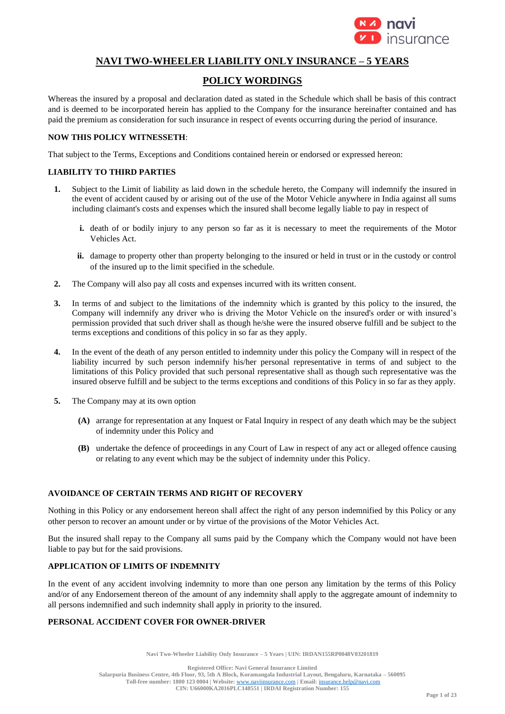

# **NAVI TWO-WHEELER LIABILITY ONLY INSURANCE – 5 YEARS**

# **POLICY WORDINGS**

Whereas the insured by a proposal and declaration dated as stated in the Schedule which shall be basis of this contract and is deemed to be incorporated herein has applied to the Company for the insurance hereinafter contained and has paid the premium as consideration for such insurance in respect of events occurring during the period of insurance.

# **NOW THIS POLICY WITNESSETH**:

That subject to the Terms, Exceptions and Conditions contained herein or endorsed or expressed hereon:

# **LIABILITY TO THIRD PARTIES**

- **1.** Subject to the Limit of liability as laid down in the schedule hereto, the Company will indemnify the insured in the event of accident caused by or arising out of the use of the Motor Vehicle anywhere in India against all sums including claimant's costs and expenses which the insured shall become legally liable to pay in respect of
	- **i.** death of or bodily injury to any person so far as it is necessary to meet the requirements of the Motor Vehicles Act.
	- **ii.** damage to property other than property belonging to the insured or held in trust or in the custody or control of the insured up to the limit specified in the schedule.
- **2.** The Company will also pay all costs and expenses incurred with its written consent.
- **3.** In terms of and subject to the limitations of the indemnity which is granted by this policy to the insured, the Company will indemnify any driver who is driving the Motor Vehicle on the insured's order or with insured's permission provided that such driver shall as though he/she were the insured observe fulfill and be subject to the terms exceptions and conditions of this policy in so far as they apply.
- **4.** In the event of the death of any person entitled to indemnity under this policy the Company will in respect of the liability incurred by such person indemnify his/her personal representative in terms of and subject to the limitations of this Policy provided that such personal representative shall as though such representative was the insured observe fulfill and be subject to the terms exceptions and conditions of this Policy in so far as they apply.
- **5.** The Company may at its own option
	- **(A)** arrange for representation at any Inquest or Fatal Inquiry in respect of any death which may be the subject of indemnity under this Policy and
	- **(B)** undertake the defence of proceedings in any Court of Law in respect of any act or alleged offence causing or relating to any event which may be the subject of indemnity under this Policy.

# **AVOIDANCE OF CERTAIN TERMS AND RIGHT OF RECOVERY**

Nothing in this Policy or any endorsement hereon shall affect the right of any person indemnified by this Policy or any other person to recover an amount under or by virtue of the provisions of the Motor Vehicles Act.

But the insured shall repay to the Company all sums paid by the Company which the Company would not have been liable to pay but for the said provisions.

# **APPLICATION OF LIMITS OF INDEMNITY**

In the event of any accident involving indemnity to more than one person any limitation by the terms of this Policy and/or of any Endorsement thereon of the amount of any indemnity shall apply to the aggregate amount of indemnity to all persons indemnified and such indemnity shall apply in priority to the insured.

# **PERSONAL ACCIDENT COVER FOR OWNER-DRIVER**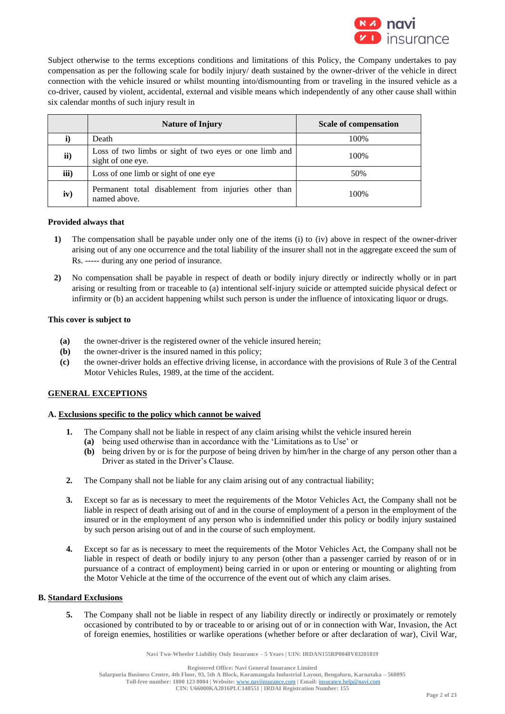

Subject otherwise to the terms exceptions conditions and limitations of this Policy, the Company undertakes to pay compensation as per the following scale for bodily injury/ death sustained by the owner-driver of the vehicle in direct connection with the vehicle insured or whilst mounting into/dismounting from or traveling in the insured vehicle as a co-driver, caused by violent, accidental, external and visible means which independently of any other cause shall within six calendar months of such injury result in

|      | <b>Nature of Injury</b>                                                     | Scale of compensation |
|------|-----------------------------------------------------------------------------|-----------------------|
| i)   | Death                                                                       | 100%                  |
| ii)  | Loss of two limbs or sight of two eyes or one limb and<br>sight of one eye. | 100%                  |
| iii) | Loss of one limb or sight of one eye                                        | 50%                   |
| iv)  | Permanent total disablement from injuries other than<br>named above.        | 100%                  |

### **Provided always that**

- **1)** The compensation shall be payable under only one of the items (i) to (iv) above in respect of the owner-driver arising out of any one occurrence and the total liability of the insurer shall not in the aggregate exceed the sum of Rs. ----- during any one period of insurance.
- **2)** No compensation shall be payable in respect of death or bodily injury directly or indirectly wholly or in part arising or resulting from or traceable to (a) intentional self-injury suicide or attempted suicide physical defect or infirmity or (b) an accident happening whilst such person is under the influence of intoxicating liquor or drugs.

# **This cover is subject to**

- **(a)** the owner-driver is the registered owner of the vehicle insured herein;
- **(b)** the owner-driver is the insured named in this policy;
- **(c)** the owner-driver holds an effective driving license, in accordance with the provisions of Rule 3 of the Central Motor Vehicles Rules, 1989, at the time of the accident.

# **GENERAL EXCEPTIONS**

#### **A. Exclusions specific to the policy which cannot be waived**

- **1.** The Company shall not be liable in respect of any claim arising whilst the vehicle insured herein **(a)** being used otherwise than in accordance with the 'Limitations as to Use' or
	- **(b)** being driven by or is for the purpose of being driven by him/her in the charge of any person other than a Driver as stated in the Driver's Clause.
- **2.** The Company shall not be liable for any claim arising out of any contractual liability;
- **3.** Except so far as is necessary to meet the requirements of the Motor Vehicles Act, the Company shall not be liable in respect of death arising out of and in the course of employment of a person in the employment of the insured or in the employment of any person who is indemnified under this policy or bodily injury sustained by such person arising out of and in the course of such employment.
- **4.** Except so far as is necessary to meet the requirements of the Motor Vehicles Act, the Company shall not be liable in respect of death or bodily injury to any person (other than a passenger carried by reason of or in pursuance of a contract of employment) being carried in or upon or entering or mounting or alighting from the Motor Vehicle at the time of the occurrence of the event out of which any claim arises.

### **B. Standard Exclusions**

**5.** The Company shall not be liable in respect of any liability directly or indirectly or proximately or remotely occasioned by contributed to by or traceable to or arising out of or in connection with War, Invasion, the Act of foreign enemies, hostilities or warlike operations (whether before or after declaration of war), Civil War,

**Navi Two-Wheeler Liability Only Insurance – 5 Years | UIN: IRDAN155RP0048V03201819**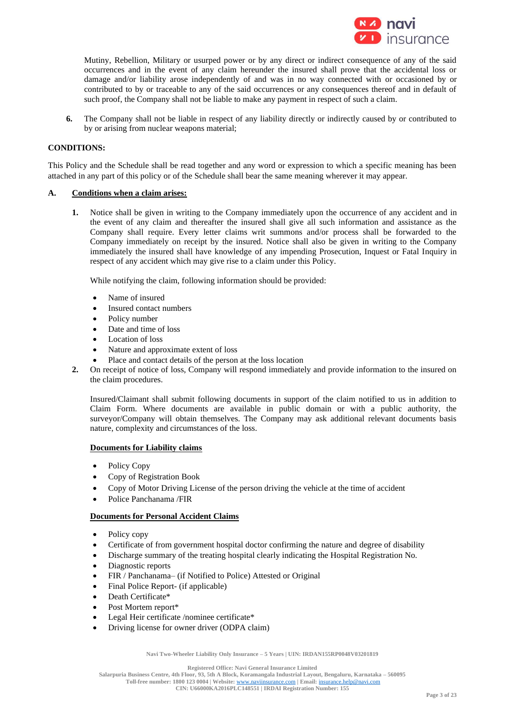

Mutiny, Rebellion, Military or usurped power or by any direct or indirect consequence of any of the said occurrences and in the event of any claim hereunder the insured shall prove that the accidental loss or damage and/or liability arose independently of and was in no way connected with or occasioned by or contributed to by or traceable to any of the said occurrences or any consequences thereof and in default of such proof, the Company shall not be liable to make any payment in respect of such a claim.

**6.** The Company shall not be liable in respect of any liability directly or indirectly caused by or contributed to by or arising from nuclear weapons material;

### **CONDITIONS:**

This Policy and the Schedule shall be read together and any word or expression to which a specific meaning has been attached in any part of this policy or of the Schedule shall bear the same meaning wherever it may appear.

### **A. Conditions when a claim arises:**

**1.** Notice shall be given in writing to the Company immediately upon the occurrence of any accident and in the event of any claim and thereafter the insured shall give all such information and assistance as the Company shall require. Every letter claims writ summons and/or process shall be forwarded to the Company immediately on receipt by the insured. Notice shall also be given in writing to the Company immediately the insured shall have knowledge of any impending Prosecution, Inquest or Fatal Inquiry in respect of any accident which may give rise to a claim under this Policy.

While notifying the claim, following information should be provided:

- Name of insured
- Insured contact numbers
- Policy number
- Date and time of loss
- Location of loss
- Nature and approximate extent of loss
- Place and contact details of the person at the loss location
- **2.** On receipt of notice of loss, Company will respond immediately and provide information to the insured on the claim procedures.

Insured/Claimant shall submit following documents in support of the claim notified to us in addition to Claim Form. Where documents are available in public domain or with a public authority, the surveyor/Company will obtain themselves. The Company may ask additional relevant documents basis nature, complexity and circumstances of the loss.

# **Documents for Liability claims**

- Policy Copy
- Copy of Registration Book
- Copy of Motor Driving License of the person driving the vehicle at the time of accident
- Police Panchanama /FIR

# **Documents for Personal Accident Claims**

- Policy copy
- Certificate of from government hospital doctor confirming the nature and degree of disability
- Discharge summary of the treating hospital clearly indicating the Hospital Registration No.
- Diagnostic reports
- FIR / Panchanama– (if Notified to Police) Attested or Original
- Final Police Report- (if applicable)
- Death Certificate\*
- Post Mortem report\*
- Legal Heir certificate /nominee certificate\*
- Driving license for owner driver (ODPA claim)

**Navi Two-Wheeler Liability Only Insurance – 5 Years | UIN: IRDAN155RP0048V03201819**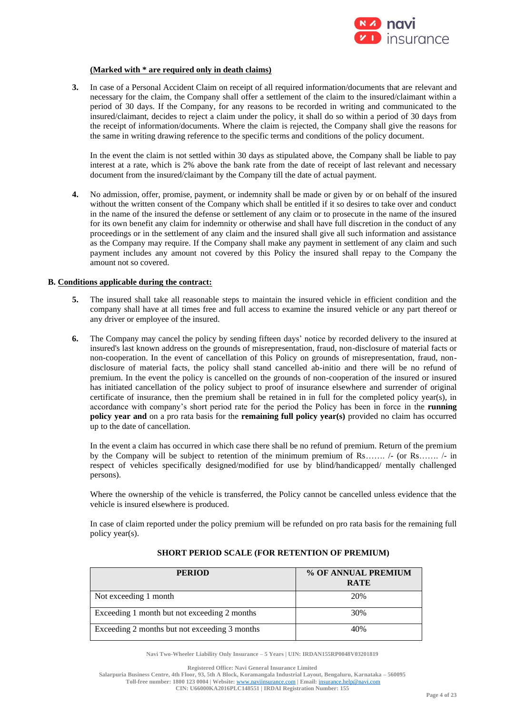

### **(Marked with \* are required only in death claims)**

**3.** In case of a Personal Accident Claim on receipt of all required information/documents that are relevant and necessary for the claim, the Company shall offer a settlement of the claim to the insured/claimant within a period of 30 days. If the Company, for any reasons to be recorded in writing and communicated to the insured/claimant, decides to reject a claim under the policy, it shall do so within a period of 30 days from the receipt of information/documents. Where the claim is rejected, the Company shall give the reasons for the same in writing drawing reference to the specific terms and conditions of the policy document.

In the event the claim is not settled within 30 days as stipulated above, the Company shall be liable to pay interest at a rate, which is 2% above the bank rate from the date of receipt of last relevant and necessary document from the insured/claimant by the Company till the date of actual payment.

**4.** No admission, offer, promise, payment, or indemnity shall be made or given by or on behalf of the insured without the written consent of the Company which shall be entitled if it so desires to take over and conduct in the name of the insured the defense or settlement of any claim or to prosecute in the name of the insured for its own benefit any claim for indemnity or otherwise and shall have full discretion in the conduct of any proceedings or in the settlement of any claim and the insured shall give all such information and assistance as the Company may require. If the Company shall make any payment in settlement of any claim and such payment includes any amount not covered by this Policy the insured shall repay to the Company the amount not so covered.

### **B. Conditions applicable during the contract:**

- **5.** The insured shall take all reasonable steps to maintain the insured vehicle in efficient condition and the company shall have at all times free and full access to examine the insured vehicle or any part thereof or any driver or employee of the insured.
- **6.** The Company may cancel the policy by sending fifteen days' notice by recorded delivery to the insured at insured's last known address on the grounds of misrepresentation, fraud, non-disclosure of material facts or non-cooperation. In the event of cancellation of this Policy on grounds of misrepresentation, fraud, nondisclosure of material facts, the policy shall stand cancelled ab-initio and there will be no refund of premium. In the event the policy is cancelled on the grounds of non-cooperation of the insured or insured has initiated cancellation of the policy subject to proof of insurance elsewhere and surrender of original certificate of insurance, then the premium shall be retained in in full for the completed policy year(s), in accordance with company's short period rate for the period the Policy has been in force in the **running policy year and** on a pro rata basis for the **remaining full policy year(s)** provided no claim has occurred up to the date of cancellation.

In the event a claim has occurred in which case there shall be no refund of premium. Return of the premium by the Company will be subject to retention of the minimum premium of Rs……. /- (or Rs……. /- in respect of vehicles specifically designed/modified for use by blind/handicapped/ mentally challenged persons).

Where the ownership of the vehicle is transferred, the Policy cannot be cancelled unless evidence that the vehicle is insured elsewhere is produced.

In case of claim reported under the policy premium will be refunded on pro rata basis for the remaining full policy year(s).

| <b>PERIOD</b>                                 | % OF ANNUAL PREMIUM<br><b>RATE</b> |
|-----------------------------------------------|------------------------------------|
| Not exceeding 1 month                         | 20%                                |
| Exceeding 1 month but not exceeding 2 months  | 30%                                |
| Exceeding 2 months but not exceeding 3 months | 40%                                |

# **SHORT PERIOD SCALE (FOR RETENTION OF PREMIUM)**

**Navi Two-Wheeler Liability Only Insurance – 5 Years | UIN: IRDAN155RP0048V03201819**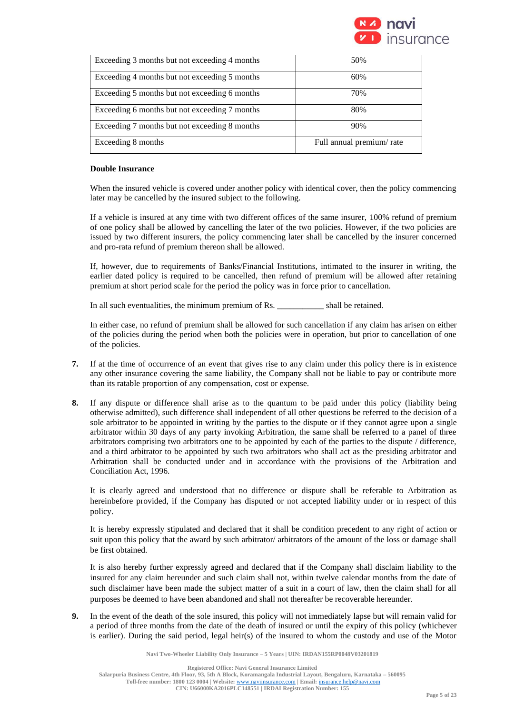

| Exceeding 3 months but not exceeding 4 months | 50%                      |
|-----------------------------------------------|--------------------------|
| Exceeding 4 months but not exceeding 5 months | 60%                      |
| Exceeding 5 months but not exceeding 6 months | 70%                      |
| Exceeding 6 months but not exceeding 7 months | 80%                      |
| Exceeding 7 months but not exceeding 8 months | 90%                      |
| Exceeding 8 months                            | Full annual premium/rate |

### **Double Insurance**

When the insured vehicle is covered under another policy with identical cover, then the policy commencing later may be cancelled by the insured subject to the following.

If a vehicle is insured at any time with two different offices of the same insurer, 100% refund of premium of one policy shall be allowed by cancelling the later of the two policies. However, if the two policies are issued by two different insurers, the policy commencing later shall be cancelled by the insurer concerned and pro-rata refund of premium thereon shall be allowed.

If, however, due to requirements of Banks/Financial Institutions, intimated to the insurer in writing, the earlier dated policy is required to be cancelled, then refund of premium will be allowed after retaining premium at short period scale for the period the policy was in force prior to cancellation.

In all such eventualities, the minimum premium of Rs. \_\_\_\_\_\_\_\_\_\_\_ shall be retained.

In either case, no refund of premium shall be allowed for such cancellation if any claim has arisen on either of the policies during the period when both the policies were in operation, but prior to cancellation of one of the policies.

- **7.** If at the time of occurrence of an event that gives rise to any claim under this policy there is in existence any other insurance covering the same liability, the Company shall not be liable to pay or contribute more than its ratable proportion of any compensation, cost or expense.
- **8.** If any dispute or difference shall arise as to the quantum to be paid under this policy (liability being otherwise admitted), such difference shall independent of all other questions be referred to the decision of a sole arbitrator to be appointed in writing by the parties to the dispute or if they cannot agree upon a single arbitrator within 30 days of any party invoking Arbitration, the same shall be referred to a panel of three arbitrators comprising two arbitrators one to be appointed by each of the parties to the dispute / difference, and a third arbitrator to be appointed by such two arbitrators who shall act as the presiding arbitrator and Arbitration shall be conducted under and in accordance with the provisions of the Arbitration and Conciliation Act, 1996.

It is clearly agreed and understood that no difference or dispute shall be referable to Arbitration as hereinbefore provided, if the Company has disputed or not accepted liability under or in respect of this policy.

It is hereby expressly stipulated and declared that it shall be condition precedent to any right of action or suit upon this policy that the award by such arbitrator/ arbitrators of the amount of the loss or damage shall be first obtained.

It is also hereby further expressly agreed and declared that if the Company shall disclaim liability to the insured for any claim hereunder and such claim shall not, within twelve calendar months from the date of such disclaimer have been made the subject matter of a suit in a court of law, then the claim shall for all purposes be deemed to have been abandoned and shall not thereafter be recoverable hereunder.

**9.** In the event of the death of the sole insured, this policy will not immediately lapse but will remain valid for a period of three months from the date of the death of insured or until the expiry of this policy (whichever is earlier). During the said period, legal heir(s) of the insured to whom the custody and use of the Motor

**Navi Two-Wheeler Liability Only Insurance – 5 Years | UIN: IRDAN155RP0048V03201819**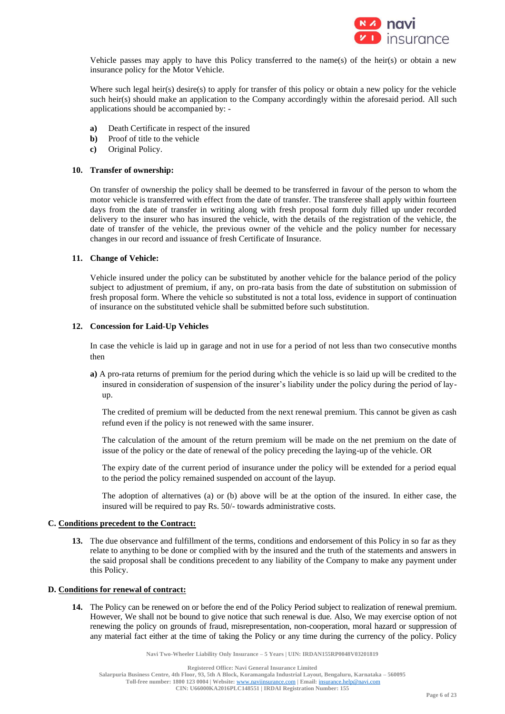

Vehicle passes may apply to have this Policy transferred to the name(s) of the heir(s) or obtain a new insurance policy for the Motor Vehicle.

Where such legal heir(s) desire(s) to apply for transfer of this policy or obtain a new policy for the vehicle such heir(s) should make an application to the Company accordingly within the aforesaid period. All such applications should be accompanied by: -

- **a)** Death Certificate in respect of the insured
- **b)** Proof of title to the vehicle
- **c)** Original Policy.

#### **10. Transfer of ownership:**

On transfer of ownership the policy shall be deemed to be transferred in favour of the person to whom the motor vehicle is transferred with effect from the date of transfer. The transferee shall apply within fourteen days from the date of transfer in writing along with fresh proposal form duly filled up under recorded delivery to the insurer who has insured the vehicle, with the details of the registration of the vehicle, the date of transfer of the vehicle, the previous owner of the vehicle and the policy number for necessary changes in our record and issuance of fresh Certificate of Insurance.

#### **11. Change of Vehicle:**

Vehicle insured under the policy can be substituted by another vehicle for the balance period of the policy subject to adjustment of premium, if any, on pro-rata basis from the date of substitution on submission of fresh proposal form. Where the vehicle so substituted is not a total loss, evidence in support of continuation of insurance on the substituted vehicle shall be submitted before such substitution.

### **12. Concession for Laid-Up Vehicles**

In case the vehicle is laid up in garage and not in use for a period of not less than two consecutive months then

**a)** A pro-rata returns of premium for the period during which the vehicle is so laid up will be credited to the insured in consideration of suspension of the insurer's liability under the policy during the period of layup.

The credited of premium will be deducted from the next renewal premium. This cannot be given as cash refund even if the policy is not renewed with the same insurer.

The calculation of the amount of the return premium will be made on the net premium on the date of issue of the policy or the date of renewal of the policy preceding the laying-up of the vehicle. OR

The expiry date of the current period of insurance under the policy will be extended for a period equal to the period the policy remained suspended on account of the layup.

The adoption of alternatives (a) or (b) above will be at the option of the insured. In either case, the insured will be required to pay Rs. 50/- towards administrative costs.

# **C. Conditions precedent to the Contract:**

**13.** The due observance and fulfillment of the terms, conditions and endorsement of this Policy in so far as they relate to anything to be done or complied with by the insured and the truth of the statements and answers in the said proposal shall be conditions precedent to any liability of the Company to make any payment under this Policy.

#### **D. Conditions for renewal of contract:**

**14.** The Policy can be renewed on or before the end of the Policy Period subject to realization of renewal premium. However, We shall not be bound to give notice that such renewal is due. Also, We may exercise option of not renewing the policy on grounds of fraud, misrepresentation, non-cooperation, moral hazard or suppression of any material fact either at the time of taking the Policy or any time during the currency of the policy. Policy

**Navi Two-Wheeler Liability Only Insurance – 5 Years | UIN: IRDAN155RP0048V03201819**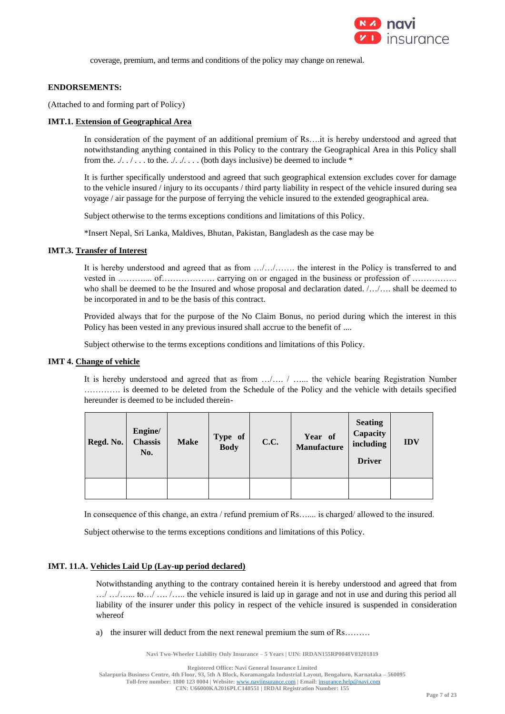

coverage, premium, and terms and conditions of the policy may change on renewal.

#### **ENDORSEMENTS:**

(Attached to and forming part of Policy)

### **IMT.1. Extension of Geographical Area**

In consideration of the payment of an additional premium of Rs….it is hereby understood and agreed that notwithstanding anything contained in this Policy to the contrary the Geographical Area in this Policy shall from the.  $/$ .  $/$ ... to the.  $/$ ...  $/$ ... (both days inclusive) be deemed to include  $*$ 

It is further specifically understood and agreed that such geographical extension excludes cover for damage to the vehicle insured / injury to its occupants / third party liability in respect of the vehicle insured during sea voyage / air passage for the purpose of ferrying the vehicle insured to the extended geographical area.

Subject otherwise to the terms exceptions conditions and limitations of this Policy.

\*Insert Nepal, Sri Lanka, Maldives, Bhutan, Pakistan, Bangladesh as the case may be

### **IMT.3. Transfer of Interest**

It is hereby understood and agreed that as from …/…/……. the interest in the Policy is transferred to and vested in ……….... of………………. carrying on or engaged in the business or profession of ……………. who shall be deemed to be the Insured and whose proposal and declaration dated. /…/…. shall be deemed to be incorporated in and to be the basis of this contract.

Provided always that for the purpose of the No Claim Bonus, no period during which the interest in this Policy has been vested in any previous insured shall accrue to the benefit of ....

Subject otherwise to the terms exceptions conditions and limitations of this Policy.

#### **IMT 4. Change of vehicle**

It is hereby understood and agreed that as from …/…. / …... the vehicle bearing Registration Number …………. is deemed to be deleted from the Schedule of the Policy and the vehicle with details specified hereunder is deemed to be included therein-

| Regd. No. | Engine/<br><b>Chassis</b><br>No. | <b>Make</b> | Type of<br>Body | <b>C.C.</b> | Year of<br>Manufacture | <b>Seating</b><br>Capacity<br>including<br><b>Driver</b> | <b>IDV</b> |
|-----------|----------------------------------|-------------|-----------------|-------------|------------------------|----------------------------------------------------------|------------|
|           |                                  |             |                 |             |                        |                                                          |            |

In consequence of this change, an extra / refund premium of Rs….... is charged/ allowed to the insured.

Subject otherwise to the terms exceptions conditions and limitations of this Policy.

# **IMT. 11.A. Vehicles Laid Up (Lay-up period declared)**

Notwithstanding anything to the contrary contained herein it is hereby understood and agreed that from …/ …/…... to…/ …. /….. the vehicle insured is laid up in garage and not in use and during this period all liability of the insurer under this policy in respect of the vehicle insured is suspended in consideration whereof

a) the insurer will deduct from the next renewal premium the sum of Rs………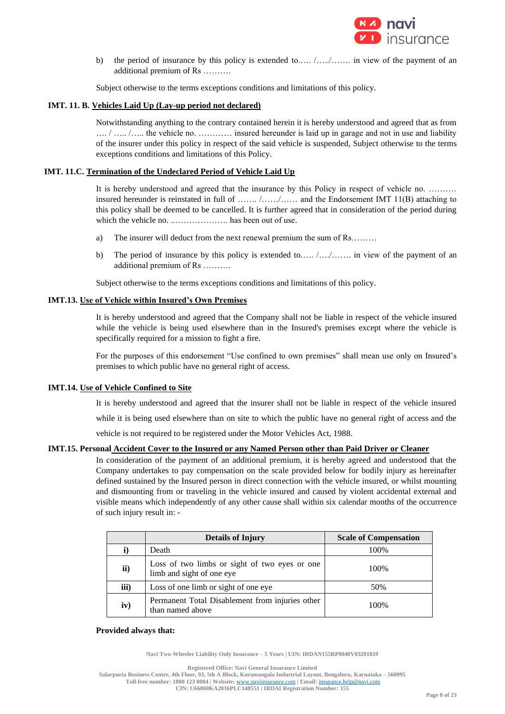

b) the period of insurance by this policy is extended to..... /...../....... in view of the payment of an additional premium of Rs ……….

Subject otherwise to the terms exceptions conditions and limitations of this policy.

### **IMT. 11. B. Vehicles Laid Up (Lay-up period not declared)**

Notwithstanding anything to the contrary contained herein it is hereby understood and agreed that as from …. / ….. /….. the vehicle no. ………… insured hereunder is laid up in garage and not in use and liability of the insurer under this policy in respect of the said vehicle is suspended, Subject otherwise to the terms exceptions conditions and limitations of this Policy.

### **IMT. 11.C. Termination of the Undeclared Period of Vehicle Laid Up**

It is hereby understood and agreed that the insurance by this Policy in respect of vehicle no. ………. insured hereunder is reinstated in full of ……. /……/…… and the Endorsement IMT 11(B) attaching to this policy shall be deemed to be cancelled. It is further agreed that in consideration of the period during which the vehicle no. ..………………. has been out of use.

- a) The insurer will deduct from the next renewal premium the sum of Rs………
- b) The period of insurance by this policy is extended to..... /..../........ in view of the payment of an additional premium of Rs ……….

Subject otherwise to the terms exceptions conditions and limitations of this policy.

### **IMT.13. Use of Vehicle within Insured's Own Premises**

It is hereby understood and agreed that the Company shall not be liable in respect of the vehicle insured while the vehicle is being used elsewhere than in the Insured's premises except where the vehicle is specifically required for a mission to fight a fire.

For the purposes of this endorsement "Use confined to own premises" shall mean use only on Insured's premises to which public have no general right of access.

### **IMT.14. Use of Vehicle Confined to Site**

It is hereby understood and agreed that the insurer shall not be liable in respect of the vehicle insured

while it is being used elsewhere than on site to which the public have no general right of access and the

vehicle is not required to be registered under the Motor Vehicles Act, 1988.

#### **IMT.15. Personal Accident Cover to the Insured or any Named Person other than Paid Driver or Cleaner**

In consideration of the payment of an additional premium, it is hereby agreed and understood that the Company undertakes to pay compensation on the scale provided below for bodily injury as hereinafter defined sustained by the Insured person in direct connection with the vehicle insured, or whilst mounting and dismounting from or traveling in the vehicle insured and caused by violent accidental external and visible means which independently of any other cause shall within six calendar months of the occurrence of such injury result in: -

|      | <b>Details of Injury</b>                                                   | <b>Scale of Compensation</b> |
|------|----------------------------------------------------------------------------|------------------------------|
|      | Death                                                                      | 100%                         |
| ii)  | Loss of two limbs or sight of two eyes or one<br>limb and sight of one eye | 100%                         |
| iii) | Loss of one limb or sight of one eye                                       | 50%                          |
| iv)  | Permanent Total Disablement from injuries other<br>than named above        | 100%                         |

#### **Provided always that:**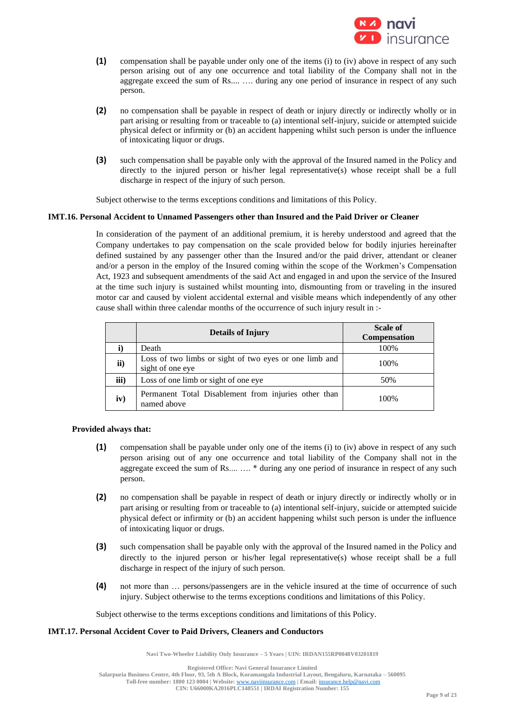

- **(1)** compensation shall be payable under only one of the items (i) to (iv) above in respect of any such person arising out of any one occurrence and total liability of the Company shall not in the aggregate exceed the sum of Rs.... …. during any one period of insurance in respect of any such person.
- **(2)** no compensation shall be payable in respect of death or injury directly or indirectly wholly or in part arising or resulting from or traceable to (a) intentional self-injury, suicide or attempted suicide physical defect or infirmity or (b) an accident happening whilst such person is under the influence of intoxicating liquor or drugs.
- **(3)** such compensation shall be payable only with the approval of the Insured named in the Policy and directly to the injured person or his/her legal representative(s) whose receipt shall be a full discharge in respect of the injury of such person.

Subject otherwise to the terms exceptions conditions and limitations of this Policy.

### **IMT.16. Personal Accident to Unnamed Passengers other than Insured and the Paid Driver or Cleaner**

In consideration of the payment of an additional premium, it is hereby understood and agreed that the Company undertakes to pay compensation on the scale provided below for bodily injuries hereinafter defined sustained by any passenger other than the Insured and/or the paid driver, attendant or cleaner and/or a person in the employ of the Insured coming within the scope of the Workmen's Compensation Act, 1923 and subsequent amendments of the said Act and engaged in and upon the service of the Insured at the time such injury is sustained whilst mounting into, dismounting from or traveling in the insured motor car and caused by violent accidental external and visible means which independently of any other cause shall within three calendar months of the occurrence of such injury result in :-

|      | <b>Details of Injury</b>                                                   | Scale of<br>Compensation |
|------|----------------------------------------------------------------------------|--------------------------|
|      | Death                                                                      | 100%                     |
| ii)  | Loss of two limbs or sight of two eyes or one limb and<br>sight of one eye | 100%                     |
| iii) | Loss of one limb or sight of one eye                                       | 50%                      |
| iv)  | Permanent Total Disablement from injuries other than<br>named above        | 100%                     |

#### **Provided always that:**

- **(1)** compensation shall be payable under only one of the items (i) to (iv) above in respect of any such person arising out of any one occurrence and total liability of the Company shall not in the aggregate exceed the sum of Rs.... …. \* during any one period of insurance in respect of any such person.
- **(2)** no compensation shall be payable in respect of death or injury directly or indirectly wholly or in part arising or resulting from or traceable to (a) intentional self-injury, suicide or attempted suicide physical defect or infirmity or (b) an accident happening whilst such person is under the influence of intoxicating liquor or drugs.
- **(3)** such compensation shall be payable only with the approval of the Insured named in the Policy and directly to the injured person or his/her legal representative(s) whose receipt shall be a full discharge in respect of the injury of such person.
- **(4)** not more than … persons/passengers are in the vehicle insured at the time of occurrence of such injury. Subject otherwise to the terms exceptions conditions and limitations of this Policy.

Subject otherwise to the terms exceptions conditions and limitations of this Policy.

# **IMT.17. Personal Accident Cover to Paid Drivers, Cleaners and Conductors**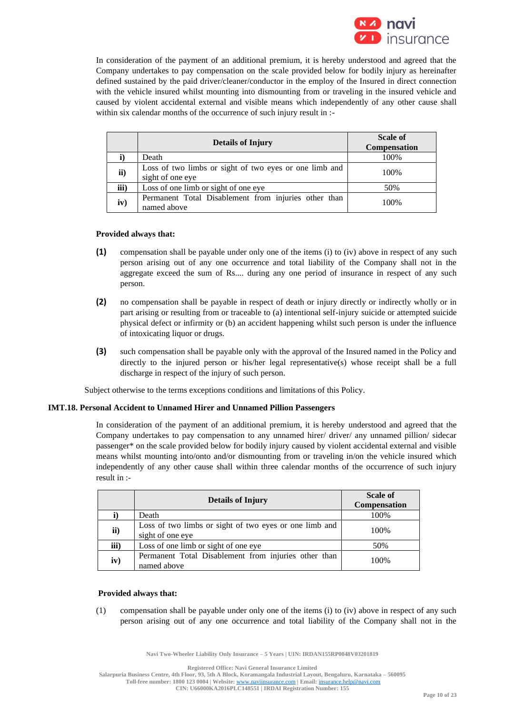

In consideration of the payment of an additional premium, it is hereby understood and agreed that the Company undertakes to pay compensation on the scale provided below for bodily injury as hereinafter defined sustained by the paid driver/cleaner/conductor in the employ of the Insured in direct connection with the vehicle insured whilst mounting into dismounting from or traveling in the insured vehicle and caused by violent accidental external and visible means which independently of any other cause shall within six calendar months of the occurrence of such injury result in :-

|      | <b>Details of Injury</b>                                                   | Scale of<br>Compensation |
|------|----------------------------------------------------------------------------|--------------------------|
|      | Death                                                                      | 100%                     |
| ii)  | Loss of two limbs or sight of two eyes or one limb and<br>sight of one eye | 100%                     |
| iii) | Loss of one limb or sight of one eye                                       | 50%                      |
| iv)  | Permanent Total Disablement from injuries other than<br>named above        | 100\%                    |

### **Provided always that:**

- **(1)** compensation shall be payable under only one of the items (i) to (iv) above in respect of any such person arising out of any one occurrence and total liability of the Company shall not in the aggregate exceed the sum of Rs.... during any one period of insurance in respect of any such person.
- **(2)** no compensation shall be payable in respect of death or injury directly or indirectly wholly or in part arising or resulting from or traceable to (a) intentional self-injury suicide or attempted suicide physical defect or infirmity or (b) an accident happening whilst such person is under the influence of intoxicating liquor or drugs.
- **(3)** such compensation shall be payable only with the approval of the Insured named in the Policy and directly to the injured person or his/her legal representative(s) whose receipt shall be a full discharge in respect of the injury of such person.

Subject otherwise to the terms exceptions conditions and limitations of this Policy.

#### **IMT.18. Personal Accident to Unnamed Hirer and Unnamed Pillion Passengers**

In consideration of the payment of an additional premium, it is hereby understood and agreed that the Company undertakes to pay compensation to any unnamed hirer/ driver/ any unnamed pillion/ sidecar passenger\* on the scale provided below for bodily injury caused by violent accidental external and visible means whilst mounting into/onto and/or dismounting from or traveling in/on the vehicle insured which independently of any other cause shall within three calendar months of the occurrence of such injury result in :-

|      | <b>Details of Injury</b>                                                   | Scale of<br><b>Compensation</b> |
|------|----------------------------------------------------------------------------|---------------------------------|
|      | Death                                                                      | 100%                            |
| ii)  | Loss of two limbs or sight of two eyes or one limb and<br>sight of one eye | 100%                            |
| iii) | Loss of one limb or sight of one eye                                       | 50%                             |
| iv)  | Permanent Total Disablement from injuries other than<br>named above        | 100%                            |

# **Provided always that:**

(1) compensation shall be payable under only one of the items (i) to (iv) above in respect of any such person arising out of any one occurrence and total liability of the Company shall not in the

**Navi Two-Wheeler Liability Only Insurance – 5 Years | UIN: IRDAN155RP0048V03201819**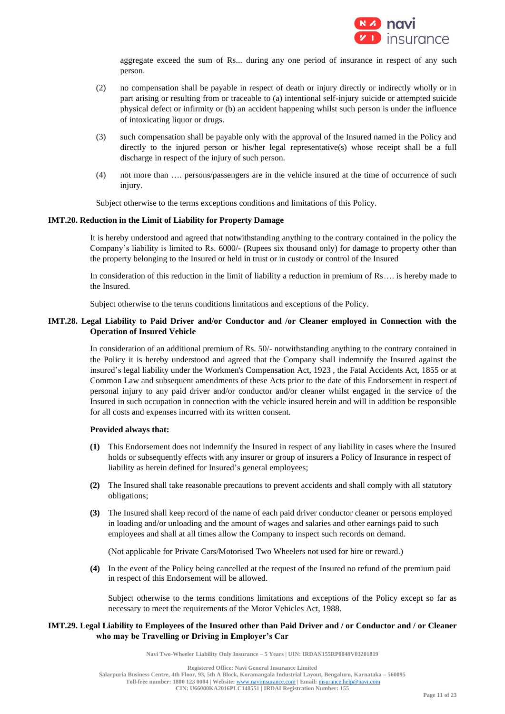

aggregate exceed the sum of Rs... during any one period of insurance in respect of any such person.

- (2) no compensation shall be payable in respect of death or injury directly or indirectly wholly or in part arising or resulting from or traceable to (a) intentional self-injury suicide or attempted suicide physical defect or infirmity or (b) an accident happening whilst such person is under the influence of intoxicating liquor or drugs.
- (3) such compensation shall be payable only with the approval of the Insured named in the Policy and directly to the injured person or his/her legal representative(s) whose receipt shall be a full discharge in respect of the injury of such person.
- (4) not more than …. persons/passengers are in the vehicle insured at the time of occurrence of such injury.

Subject otherwise to the terms exceptions conditions and limitations of this Policy.

### **IMT.20. Reduction in the Limit of Liability for Property Damage**

It is hereby understood and agreed that notwithstanding anything to the contrary contained in the policy the Company's liability is limited to Rs. 6000/- (Rupees six thousand only) for damage to property other than the property belonging to the Insured or held in trust or in custody or control of the Insured

In consideration of this reduction in the limit of liability a reduction in premium of Rs…. is hereby made to the Insured.

Subject otherwise to the terms conditions limitations and exceptions of the Policy.

### **IMT.28. Legal Liability to Paid Driver and/or Conductor and /or Cleaner employed in Connection with the Operation of Insured Vehicle**

In consideration of an additional premium of Rs. 50/- notwithstanding anything to the contrary contained in the Policy it is hereby understood and agreed that the Company shall indemnify the Insured against the insured's legal liability under the Workmen's Compensation Act, 1923 , the Fatal Accidents Act, 1855 or at Common Law and subsequent amendments of these Acts prior to the date of this Endorsement in respect of personal injury to any paid driver and/or conductor and/or cleaner whilst engaged in the service of the Insured in such occupation in connection with the vehicle insured herein and will in addition be responsible for all costs and expenses incurred with its written consent.

# **Provided always that:**

- **(1)** This Endorsement does not indemnify the Insured in respect of any liability in cases where the Insured holds or subsequently effects with any insurer or group of insurers a Policy of Insurance in respect of liability as herein defined for Insured's general employees;
- **(2)** The Insured shall take reasonable precautions to prevent accidents and shall comply with all statutory obligations;
- **(3)** The Insured shall keep record of the name of each paid driver conductor cleaner or persons employed in loading and/or unloading and the amount of wages and salaries and other earnings paid to such employees and shall at all times allow the Company to inspect such records on demand.

(Not applicable for Private Cars/Motorised Two Wheelers not used for hire or reward.)

**(4)** In the event of the Policy being cancelled at the request of the Insured no refund of the premium paid in respect of this Endorsement will be allowed.

Subject otherwise to the terms conditions limitations and exceptions of the Policy except so far as necessary to meet the requirements of the Motor Vehicles Act, 1988.

# **IMT.29. Legal Liability to Employees of the Insured other than Paid Driver and / or Conductor and / or Cleaner who may be Travelling or Driving in Employer's Car**

**Navi Two-Wheeler Liability Only Insurance – 5 Years | UIN: IRDAN155RP0048V03201819**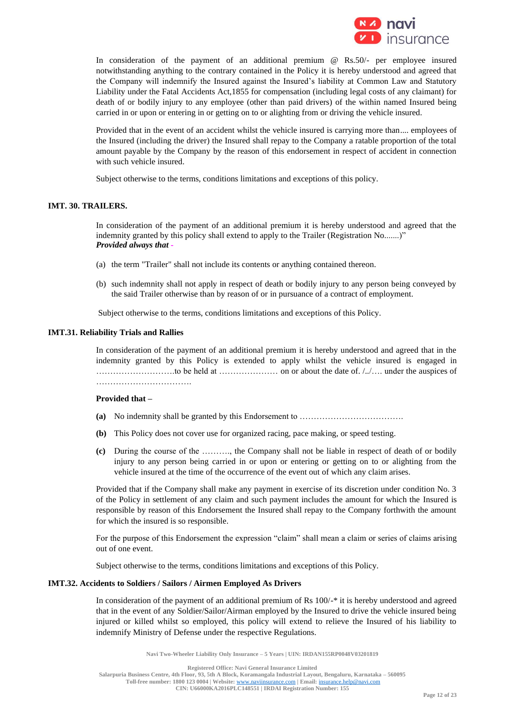

In consideration of the payment of an additional premium @ Rs.50/- per employee insured notwithstanding anything to the contrary contained in the Policy it is hereby understood and agreed that the Company will indemnify the Insured against the Insured's liability at Common Law and Statutory Liability under the Fatal Accidents Act,1855 for compensation (including legal costs of any claimant) for death of or bodily injury to any employee (other than paid drivers) of the within named Insured being carried in or upon or entering in or getting on to or alighting from or driving the vehicle insured.

Provided that in the event of an accident whilst the vehicle insured is carrying more than.... employees of the Insured (including the driver) the Insured shall repay to the Company a ratable proportion of the total amount payable by the Company by the reason of this endorsement in respect of accident in connection with such vehicle insured.

Subject otherwise to the terms, conditions limitations and exceptions of this policy.

# **IMT. 30. TRAILERS.**

In consideration of the payment of an additional premium it is hereby understood and agreed that the indemnity granted by this policy shall extend to apply to the Trailer (Registration No.......)" *Provided always that -*

- (a) the term "Trailer" shall not include its contents or anything contained thereon.
- (b) such indemnity shall not apply in respect of death or bodily injury to any person being conveyed by the said Trailer otherwise than by reason of or in pursuance of a contract of employment.

Subject otherwise to the terms, conditions limitations and exceptions of this Policy.

### **IMT.31. Reliability Trials and Rallies**

In consideration of the payment of an additional premium it is hereby understood and agreed that in the indemnity granted by this Policy is extended to apply whilst the vehicle insured is engaged in ……………………….to be held at ………………… on or about the date of. /../…. under the auspices of ……………………………………

#### **Provided that –**

- **(a)** No indemnity shall be granted by this Endorsement to ……………………………….
- **(b)** This Policy does not cover use for organized racing, pace making, or speed testing.
- **(c)** During the course of the ………., the Company shall not be liable in respect of death of or bodily injury to any person being carried in or upon or entering or getting on to or alighting from the vehicle insured at the time of the occurrence of the event out of which any claim arises.

Provided that if the Company shall make any payment in exercise of its discretion under condition No. 3 of the Policy in settlement of any claim and such payment includes the amount for which the Insured is responsible by reason of this Endorsement the Insured shall repay to the Company forthwith the amount for which the insured is so responsible.

For the purpose of this Endorsement the expression "claim" shall mean a claim or series of claims arising out of one event.

Subject otherwise to the terms, conditions limitations and exceptions of this Policy.

#### **IMT.32. Accidents to Soldiers / Sailors / Airmen Employed As Drivers**

In consideration of the payment of an additional premium of Rs 100/-\* it is hereby understood and agreed that in the event of any Soldier/Sailor/Airman employed by the Insured to drive the vehicle insured being injured or killed whilst so employed, this policy will extend to relieve the Insured of his liability to indemnify Ministry of Defense under the respective Regulations.

**Navi Two-Wheeler Liability Only Insurance – 5 Years | UIN: IRDAN155RP0048V03201819**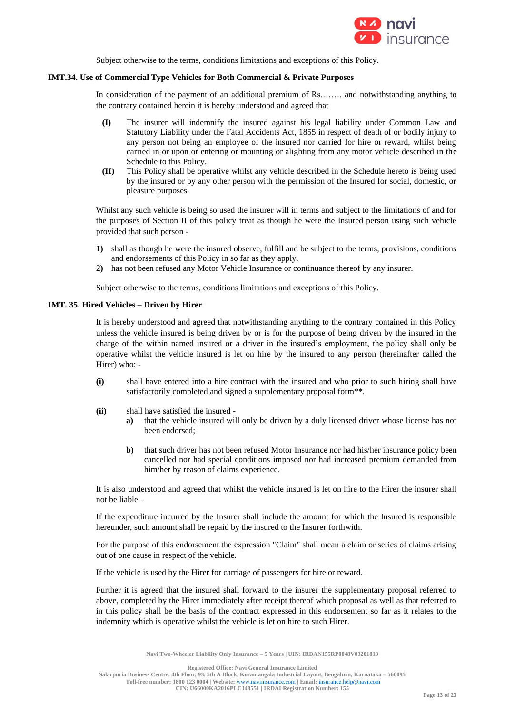

Subject otherwise to the terms, conditions limitations and exceptions of this Policy.

#### **IMT.34. Use of Commercial Type Vehicles for Both Commercial & Private Purposes**

In consideration of the payment of an additional premium of Rs........ and notwithstanding anything to the contrary contained herein it is hereby understood and agreed that

- **(I)** The insurer will indemnify the insured against his legal liability under Common Law and Statutory Liability under the Fatal Accidents Act, 1855 in respect of death of or bodily injury to any person not being an employee of the insured nor carried for hire or reward, whilst being carried in or upon or entering or mounting or alighting from any motor vehicle described in the Schedule to this Policy.
- **(II)** This Policy shall be operative whilst any vehicle described in the Schedule hereto is being used by the insured or by any other person with the permission of the Insured for social, domestic, or pleasure purposes.

Whilst any such vehicle is being so used the insurer will in terms and subject to the limitations of and for the purposes of Section II of this policy treat as though he were the Insured person using such vehicle provided that such person -

- **1)** shall as though he were the insured observe, fulfill and be subject to the terms, provisions, conditions and endorsements of this Policy in so far as they apply.
- **2)** has not been refused any Motor Vehicle Insurance or continuance thereof by any insurer.

Subject otherwise to the terms, conditions limitations and exceptions of this Policy.

### **IMT. 35. Hired Vehicles – Driven by Hirer**

It is hereby understood and agreed that notwithstanding anything to the contrary contained in this Policy unless the vehicle insured is being driven by or is for the purpose of being driven by the insured in the charge of the within named insured or a driver in the insured's employment, the policy shall only be operative whilst the vehicle insured is let on hire by the insured to any person (hereinafter called the Hirer) who: -

- **(i)** shall have entered into a hire contract with the insured and who prior to such hiring shall have satisfactorily completed and signed a supplementary proposal form\*\*.
- **(ii)** shall have satisfied the insured
	- **a)** that the vehicle insured will only be driven by a duly licensed driver whose license has not been endorsed;
	- **b**) that such driver has not been refused Motor Insurance nor had his/her insurance policy been cancelled nor had special conditions imposed nor had increased premium demanded from him/her by reason of claims experience.

It is also understood and agreed that whilst the vehicle insured is let on hire to the Hirer the insurer shall not be liable –

If the expenditure incurred by the Insurer shall include the amount for which the Insured is responsible hereunder, such amount shall be repaid by the insured to the Insurer forthwith.

For the purpose of this endorsement the expression "Claim" shall mean a claim or series of claims arising out of one cause in respect of the vehicle.

If the vehicle is used by the Hirer for carriage of passengers for hire or reward.

Further it is agreed that the insured shall forward to the insurer the supplementary proposal referred to above, completed by the Hirer immediately after receipt thereof which proposal as well as that referred to in this policy shall be the basis of the contract expressed in this endorsement so far as it relates to the indemnity which is operative whilst the vehicle is let on hire to such Hirer.

**Navi Two-Wheeler Liability Only Insurance – 5 Years | UIN: IRDAN155RP0048V03201819**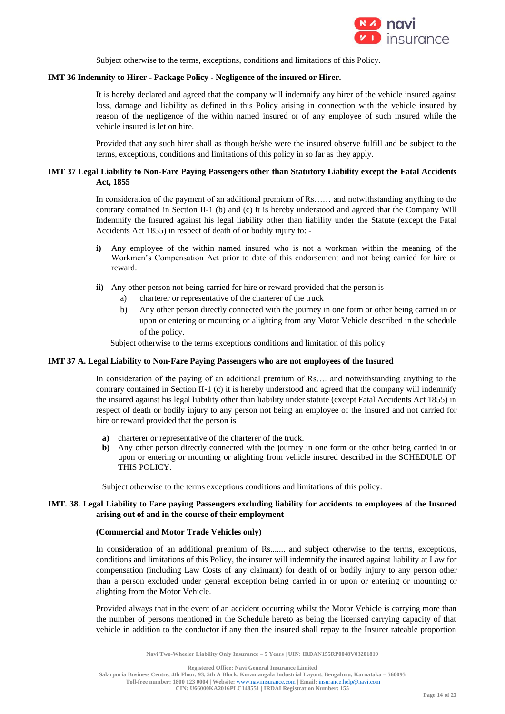

Subject otherwise to the terms, exceptions, conditions and limitations of this Policy.

### **IMT 36 Indemnity to Hirer - Package Policy - Negligence of the insured or Hirer.**

It is hereby declared and agreed that the company will indemnify any hirer of the vehicle insured against loss, damage and liability as defined in this Policy arising in connection with the vehicle insured by reason of the negligence of the within named insured or of any employee of such insured while the vehicle insured is let on hire.

Provided that any such hirer shall as though he/she were the insured observe fulfill and be subject to the terms, exceptions, conditions and limitations of this policy in so far as they apply.

# **IMT 37 Legal Liability to Non-Fare Paying Passengers other than Statutory Liability except the Fatal Accidents Act, 1855**

In consideration of the payment of an additional premium of Rs…… and notwithstanding anything to the contrary contained in Section II-1 (b) and (c) it is hereby understood and agreed that the Company Will Indemnify the Insured against his legal liability other than liability under the Statute (except the Fatal Accidents Act 1855) in respect of death of or bodily injury to: -

- **i)** Any employee of the within named insured who is not a workman within the meaning of the Workmen's Compensation Act prior to date of this endorsement and not being carried for hire or reward.
- **ii)** Any other person not being carried for hire or reward provided that the person is
	- a) charterer or representative of the charterer of the truck
	- b) Any other person directly connected with the journey in one form or other being carried in or upon or entering or mounting or alighting from any Motor Vehicle described in the schedule of the policy.

Subject otherwise to the terms exceptions conditions and limitation of this policy.

### **IMT 37 A. Legal Liability to Non-Fare Paying Passengers who are not employees of the Insured**

In consideration of the paying of an additional premium of Rs…. and notwithstanding anything to the contrary contained in Section II-1 (c) it is hereby understood and agreed that the company will indemnify the insured against his legal liability other than liability under statute (except Fatal Accidents Act 1855) in respect of death or bodily injury to any person not being an employee of the insured and not carried for hire or reward provided that the person is

- **a)** charterer or representative of the charterer of the truck.
- **b)** Any other person directly connected with the journey in one form or the other being carried in or upon or entering or mounting or alighting from vehicle insured described in the SCHEDULE OF THIS POLICY.

Subject otherwise to the terms exceptions conditions and limitations of this policy.

# **IMT. 38. Legal Liability to Fare paying Passengers excluding liability for accidents to employees of the Insured arising out of and in the course of their employment**

#### **(Commercial and Motor Trade Vehicles only)**

In consideration of an additional premium of Rs....... and subject otherwise to the terms, exceptions, conditions and limitations of this Policy, the insurer will indemnify the insured against liability at Law for compensation (including Law Costs of any claimant) for death of or bodily injury to any person other than a person excluded under general exception being carried in or upon or entering or mounting or alighting from the Motor Vehicle.

Provided always that in the event of an accident occurring whilst the Motor Vehicle is carrying more than the number of persons mentioned in the Schedule hereto as being the licensed carrying capacity of that vehicle in addition to the conductor if any then the insured shall repay to the Insurer rateable proportion

**Navi Two-Wheeler Liability Only Insurance – 5 Years | UIN: IRDAN155RP0048V03201819**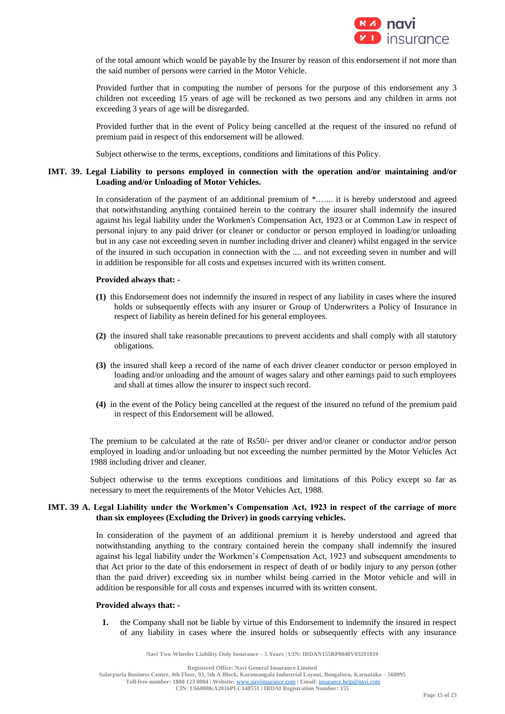

of the total amount which would be payable by the Insurer by reason of this endorsement if not more than the said number of persons were carried in the Motor Vehicle.

Provided further that in computing the number of persons for the purpose of this endorsement any 3 children not exceeding 15 years of age will be reckoned as two persons and any children in arms not exceeding 3 years of age will be disregarded.

Provided further that in the event of Policy being cancelled at the request of the insured no refund of premium paid in respect of this endorsement will be allowed.

Subject otherwise to the terms, exceptions, conditions and limitations of this Policy.

# **IMT. 39. Legal Liability to persons employed in connection with the operation and/or maintaining and/or Loading and/or Unloading of Motor Vehicles.**

In consideration of the payment of an additional premium of \*.…... it is hereby understood and agreed that notwithstanding anything contained herein to the contrary the insurer shall indemnify the insured against his legal liability under the Workmen's Compensation Act, 1923 or at Common Law in respect of personal injury to any paid driver (or cleaner or conductor or person employed in loading/or unloading but in any case not exceeding seven in number including driver and cleaner) whilst engaged in the service of the insured in such occupation in connection with the .... and not exceeding seven in number and will in addition be responsible for all costs and expenses incurred with its written consent.

### **Provided always that: -**

- **(1)** this Endorsement does not indemnify the insured in respect of any liability in cases where the insured holds or subsequently effects with any insurer or Group of Underwriters a Policy of Insurance in respect of liability as herein defined for his general employees.
- **(2)** the insured shall take reasonable precautions to prevent accidents and shall comply with all statutory obligations.
- **(3)** the insured shall keep a record of the name of each driver cleaner conductor or person employed in loading and/or unloading and the amount of wages salary and other earnings paid to such employees and shall at times allow the insurer to inspect such record.
- **(4)** in the event of the Policy being cancelled at the request of the insured no refund of the premium paid in respect of this Endorsement will be allowed.

The premium to be calculated at the rate of Rs50/- per driver and/or cleaner or conductor and/or person employed in loading and/or unloading but not exceeding the number permitted by the Motor Vehicles Act 1988 including driver and cleaner.

Subject otherwise to the terms exceptions conditions and limitations of this Policy except so far as necessary to meet the requirements of the Motor Vehicles Act, 1988.

# **IMT. 39 A. Legal Liability under the Workmen's Compensation Act, 1923 in respect of the carriage of more than six employees (Excluding the Driver) in goods carrying vehicles.**

In consideration of the payment of an additional premium it is hereby understood and agreed that notwithstanding anything to the contrary contained herein the company shall indemnify the insured against his legal liability under the Workmen's Compensation Act, 1923 and subsequent amendments to that Act prior to the date of this endorsement in respect of death of or bodily injury to any person (other than the paid driver) exceeding six in number whilst being carried in the Motor vehicle and will in addition be responsible for all costs and expenses incurred with its written consent.

#### **Provided always that: -**

**1.** the Company shall not be liable by virtue of this Endorsement to indemnify the insured in respect of any liability in cases where the insured holds or subsequently effects with any insurance

**Navi Two-Wheeler Liability Only Insurance – 5 Years | UIN: IRDAN155RP0048V03201819**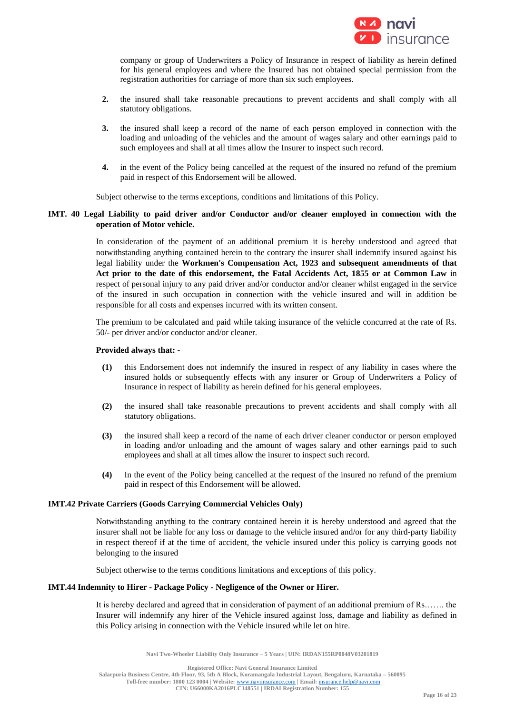

company or group of Underwriters a Policy of Insurance in respect of liability as herein defined for his general employees and where the Insured has not obtained special permission from the registration authorities for carriage of more than six such employees.

- **2.** the insured shall take reasonable precautions to prevent accidents and shall comply with all statutory obligations.
- **3.** the insured shall keep a record of the name of each person employed in connection with the loading and unloading of the vehicles and the amount of wages salary and other earnings paid to such employees and shall at all times allow the Insurer to inspect such record.
- **4.** in the event of the Policy being cancelled at the request of the insured no refund of the premium paid in respect of this Endorsement will be allowed.

Subject otherwise to the terms exceptions, conditions and limitations of this Policy.

### **IMT. 40 Legal Liability to paid driver and/or Conductor and/or cleaner employed in connection with the operation of Motor vehicle.**

In consideration of the payment of an additional premium it is hereby understood and agreed that notwithstanding anything contained herein to the contrary the insurer shall indemnify insured against his legal liability under the **Workmen's Compensation Act, 1923 and subsequent amendments of that Act prior to the date of this endorsement, the Fatal Accidents Act, 1855 or at Common Law** in respect of personal injury to any paid driver and/or conductor and/or cleaner whilst engaged in the service of the insured in such occupation in connection with the vehicle insured and will in addition be responsible for all costs and expenses incurred with its written consent.

The premium to be calculated and paid while taking insurance of the vehicle concurred at the rate of Rs. 50/- per driver and/or conductor and/or cleaner.

### **Provided always that: -**

- **(1)** this Endorsement does not indemnify the insured in respect of any liability in cases where the insured holds or subsequently effects with any insurer or Group of Underwriters a Policy of Insurance in respect of liability as herein defined for his general employees.
- **(2)** the insured shall take reasonable precautions to prevent accidents and shall comply with all statutory obligations.
- **(3)** the insured shall keep a record of the name of each driver cleaner conductor or person employed in loading and/or unloading and the amount of wages salary and other earnings paid to such employees and shall at all times allow the insurer to inspect such record.
- **(4)** In the event of the Policy being cancelled at the request of the insured no refund of the premium paid in respect of this Endorsement will be allowed.

#### **IMT.42 Private Carriers (Goods Carrying Commercial Vehicles Only)**

Notwithstanding anything to the contrary contained herein it is hereby understood and agreed that the insurer shall not be liable for any loss or damage to the vehicle insured and/or for any third-party liability in respect thereof if at the time of accident, the vehicle insured under this policy is carrying goods not belonging to the insured

Subject otherwise to the terms conditions limitations and exceptions of this policy.

#### **IMT.44 Indemnity to Hirer - Package Policy - Negligence of the Owner or Hirer.**

It is hereby declared and agreed that in consideration of payment of an additional premium of Rs……. the Insurer will indemnify any hirer of the Vehicle insured against loss, damage and liability as defined in this Policy arising in connection with the Vehicle insured while let on hire.

**Navi Two-Wheeler Liability Only Insurance – 5 Years | UIN: IRDAN155RP0048V03201819**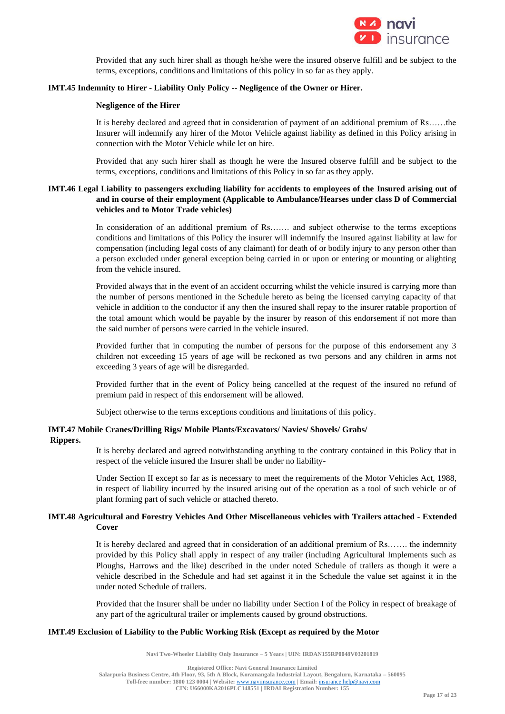

Provided that any such hirer shall as though he/she were the insured observe fulfill and be subject to the terms, exceptions, conditions and limitations of this policy in so far as they apply.

# **IMT.45 Indemnity to Hirer - Liability Only Policy -- Negligence of the Owner or Hirer.**

#### **Negligence of the Hirer**

It is hereby declared and agreed that in consideration of payment of an additional premium of Rs……the Insurer will indemnify any hirer of the Motor Vehicle against liability as defined in this Policy arising in connection with the Motor Vehicle while let on hire.

Provided that any such hirer shall as though he were the Insured observe fulfill and be subject to the terms, exceptions, conditions and limitations of this Policy in so far as they apply.

# **IMT.46 Legal Liability to passengers excluding liability for accidents to employees of the Insured arising out of and in course of their employment (Applicable to Ambulance/Hearses under class D of Commercial vehicles and to Motor Trade vehicles)**

In consideration of an additional premium of Rs……. and subject otherwise to the terms exceptions conditions and limitations of this Policy the insurer will indemnify the insured against liability at law for compensation (including legal costs of any claimant) for death of or bodily injury to any person other than a person excluded under general exception being carried in or upon or entering or mounting or alighting from the vehicle insured.

Provided always that in the event of an accident occurring whilst the vehicle insured is carrying more than the number of persons mentioned in the Schedule hereto as being the licensed carrying capacity of that vehicle in addition to the conductor if any then the insured shall repay to the insurer ratable proportion of the total amount which would be payable by the insurer by reason of this endorsement if not more than the said number of persons were carried in the vehicle insured.

Provided further that in computing the number of persons for the purpose of this endorsement any 3 children not exceeding 15 years of age will be reckoned as two persons and any children in arms not exceeding 3 years of age will be disregarded.

Provided further that in the event of Policy being cancelled at the request of the insured no refund of premium paid in respect of this endorsement will be allowed.

Subject otherwise to the terms exceptions conditions and limitations of this policy.

# **IMT.47 Mobile Cranes/Drilling Rigs/ Mobile Plants/Excavators/ Navies/ Shovels/ Grabs/ Rippers.**

It is hereby declared and agreed notwithstanding anything to the contrary contained in this Policy that in respect of the vehicle insured the Insurer shall be under no liability-

Under Section II except so far as is necessary to meet the requirements of the Motor Vehicles Act, 1988, in respect of liability incurred by the insured arising out of the operation as a tool of such vehicle or of plant forming part of such vehicle or attached thereto.

# **IMT.48 Agricultural and Forestry Vehicles And Other Miscellaneous vehicles with Trailers attached - Extended Cover**

It is hereby declared and agreed that in consideration of an additional premium of Rs……. the indemnity provided by this Policy shall apply in respect of any trailer (including Agricultural Implements such as Ploughs, Harrows and the like) described in the under noted Schedule of trailers as though it were a vehicle described in the Schedule and had set against it in the Schedule the value set against it in the under noted Schedule of trailers.

Provided that the Insurer shall be under no liability under Section I of the Policy in respect of breakage of any part of the agricultural trailer or implements caused by ground obstructions.

# **IMT.49 Exclusion of Liability to the Public Working Risk (Except as required by the Motor**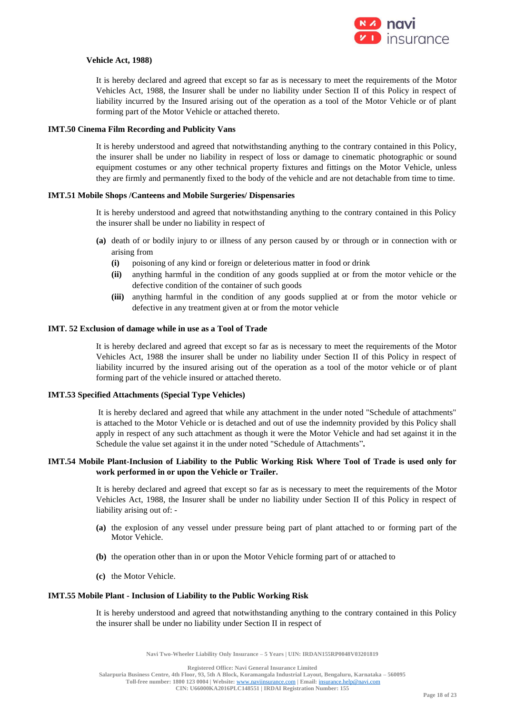

### **Vehicle Act, 1988)**

It is hereby declared and agreed that except so far as is necessary to meet the requirements of the Motor Vehicles Act, 1988, the Insurer shall be under no liability under Section II of this Policy in respect of liability incurred by the Insured arising out of the operation as a tool of the Motor Vehicle or of plant forming part of the Motor Vehicle or attached thereto.

### **IMT.50 Cinema Film Recording and Publicity Vans**

It is hereby understood and agreed that notwithstanding anything to the contrary contained in this Policy, the insurer shall be under no liability in respect of loss or damage to cinematic photographic or sound equipment costumes or any other technical property fixtures and fittings on the Motor Vehicle, unless they are firmly and permanently fixed to the body of the vehicle and are not detachable from time to time.

### **IMT.51 Mobile Shops /Canteens and Mobile Surgeries/ Dispensaries**

It is hereby understood and agreed that notwithstanding anything to the contrary contained in this Policy the insurer shall be under no liability in respect of

- **(a)** death of or bodily injury to or illness of any person caused by or through or in connection with or arising from
	- **(i)** poisoning of any kind or foreign or deleterious matter in food or drink
	- **(ii)** anything harmful in the condition of any goods supplied at or from the motor vehicle or the defective condition of the container of such goods
	- **(iii)** anything harmful in the condition of any goods supplied at or from the motor vehicle or defective in any treatment given at or from the motor vehicle

# **IMT. 52 Exclusion of damage while in use as a Tool of Trade**

It is hereby declared and agreed that except so far as is necessary to meet the requirements of the Motor Vehicles Act, 1988 the insurer shall be under no liability under Section II of this Policy in respect of liability incurred by the insured arising out of the operation as a tool of the motor vehicle or of plant forming part of the vehicle insured or attached thereto.

### **IMT.53 Specified Attachments (Special Type Vehicles)**

It is hereby declared and agreed that while any attachment in the under noted "Schedule of attachments" is attached to the Motor Vehicle or is detached and out of use the indemnity provided by this Policy shall apply in respect of any such attachment as though it were the Motor Vehicle and had set against it in the Schedule the value set against it in the under noted "Schedule of Attachments"**.**

# **IMT.54 Mobile Plant-Inclusion of Liability to the Public Working Risk Where Tool of Trade is used only for work performed in or upon the Vehicle or Trailer.**

It is hereby declared and agreed that except so far as is necessary to meet the requirements of the Motor Vehicles Act, 1988, the Insurer shall be under no liability under Section II of this Policy in respect of liability arising out of: -

- **(a)** the explosion of any vessel under pressure being part of plant attached to or forming part of the Motor Vehicle.
- **(b)** the operation other than in or upon the Motor Vehicle forming part of or attached to
- **(c)** the Motor Vehicle.

#### **IMT.55 Mobile Plant - Inclusion of Liability to the Public Working Risk**

It is hereby understood and agreed that notwithstanding anything to the contrary contained in this Policy the insurer shall be under no liability under Section II in respect of

**Navi Two-Wheeler Liability Only Insurance – 5 Years | UIN: IRDAN155RP0048V03201819**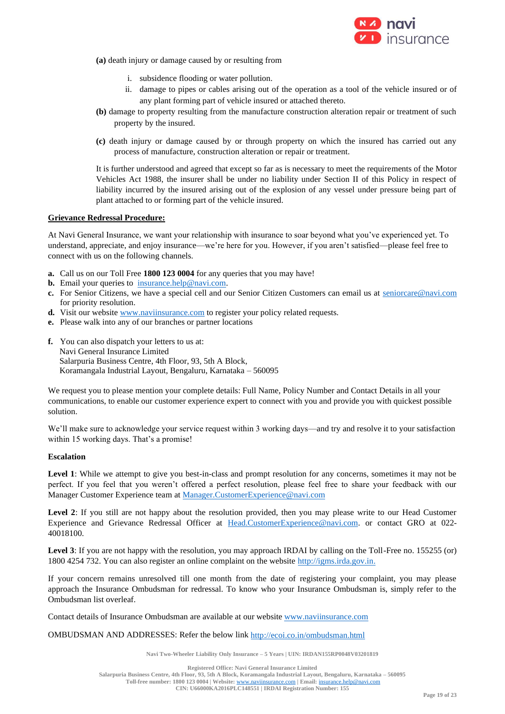

**(a)** death injury or damage caused by or resulting from

- i. subsidence flooding or water pollution.
- ii. damage to pipes or cables arising out of the operation as a tool of the vehicle insured or of any plant forming part of vehicle insured or attached thereto.
- **(b)** damage to property resulting from the manufacture construction alteration repair or treatment of such property by the insured.
- **(c)** death injury or damage caused by or through property on which the insured has carried out any process of manufacture, construction alteration or repair or treatment.

It is further understood and agreed that except so far as is necessary to meet the requirements of the Motor Vehicles Act 1988, the insurer shall be under no liability under Section II of this Policy in respect of liability incurred by the insured arising out of the explosion of any vessel under pressure being part of plant attached to or forming part of the vehicle insured.

# **Grievance Redressal Procedure:**

At Navi General Insurance, we want your relationship with insurance to soar beyond what you've experienced yet. To understand, appreciate, and enjoy insurance—we're here for you. However, if you aren't satisfied—please feel free to connect with us on the following channels.

- **a.** Call us on our Toll Free **1800 123 0004** for any queries that you may have!
- **b.** Email your queries to [insurance.help@navi.com.](mailto:insurance.help@navi.com)
- **c.** For Senior Citizens, we have a special cell and our Senior Citizen Customers can email us at [seniorcare@navi.com](mailto:seniorcare@navi.com) for priority resolution.
- d. Visit our websit[e www.naviinsurance.com](http://www.naviinsurance.com/) to register your policy related requests.
- **e.** Please walk into any of our branches or partner locations
- **f.** You can also dispatch your letters to us at: Navi General Insurance Limited Salarpuria Business Centre, 4th Floor, 93, 5th A Block, Koramangala Industrial Layout, Bengaluru, Karnataka – 560095

We request you to please mention your complete details: Full Name, Policy Number and Contact Details in all your communications, to enable our customer experience expert to connect with you and provide you with quickest possible solution.

We'll make sure to acknowledge your service request within 3 working days—and try and resolve it to your satisfaction within 15 working days. That's a promise!

#### **Escalation**

Level 1: While we attempt to give you best-in-class and prompt resolution for any concerns, sometimes it may not be perfect. If you feel that you weren't offered a perfect resolution, please feel free to share your feedback with our Manager Customer Experience team at Manager.CustomerExperience@navi.com

Level 2: If you still are not happy about the resolution provided, then you may please write to our Head Customer Experience and Grievance Redressal Officer at Head.CustomerExperience@navi.com. or contact GRO at 022- 40018100.

Level 3: If you are not happy with the resolution, you may approach IRDAI by calling on the Toll-Free no. 155255 (or) 1800 4254 732. You can also register an online complaint on the website http://igms.irda.gov.in.

If your concern remains unresolved till one month from the date of registering your complaint, you may please approach the Insurance Ombudsman for redressal. To know who your Insurance Ombudsman is, simply refer to the Ombudsman list overleaf.

Contact details of Insurance Ombudsman are available at our website [www.naviinsurance.com](http://www.naviinsurance.com/)

# OMBUDSMAN AND ADDRESSES: Refer the below link <http://ecoi.co.in/ombudsman.html>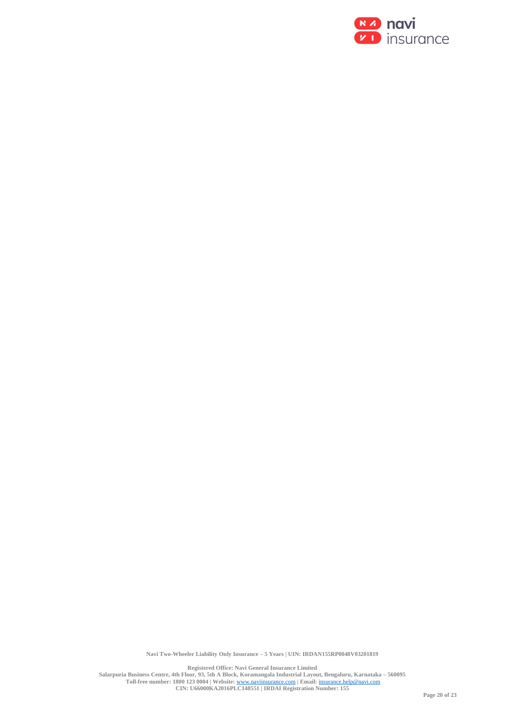

**Navi Two-Wheeler Liability Only Insurance – 5 Years | UIN: IRDAN155RP0048V03201819**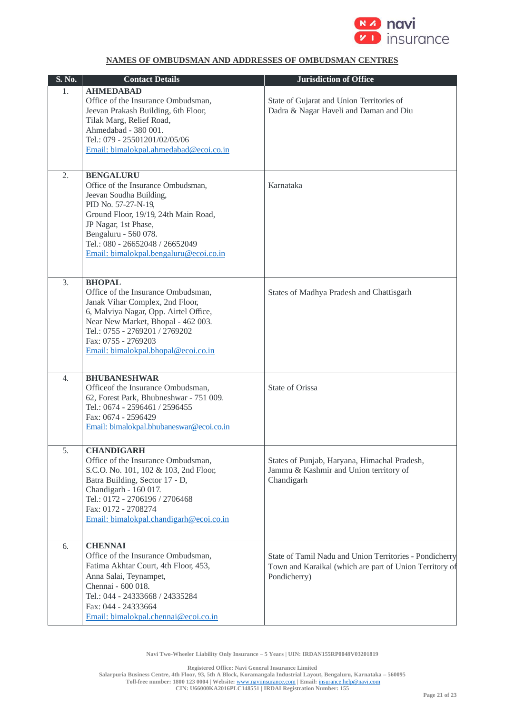

# **NAMES OF OMBUDSMAN AND ADDRESSES OF OMBUDSMAN CENTRES**

| S. No.           | <b>Contact Details</b>                                                                                                                                                                                                                                                        | <b>Jurisdiction of Office</b>                                                                                                      |
|------------------|-------------------------------------------------------------------------------------------------------------------------------------------------------------------------------------------------------------------------------------------------------------------------------|------------------------------------------------------------------------------------------------------------------------------------|
| 1.               | <b>AHMEDABAD</b><br>Office of the Insurance Ombudsman,<br>Jeevan Prakash Building, 6th Floor,<br>Tilak Marg, Relief Road,<br>Ahmedabad - 380 001.<br>Tel.: 079 - 25501201/02/05/06<br>Email: bimalokpal.ahmedabad@ecoi.co.in                                                  | State of Gujarat and Union Territories of<br>Dadra & Nagar Haveli and Daman and Diu                                                |
| 2.               | <b>BENGALURU</b><br>Office of the Insurance Ombudsman,<br>Jeevan Soudha Building,<br>PID No. 57-27-N-19,<br>Ground Floor, 19/19, 24th Main Road,<br>JP Nagar, 1st Phase,<br>Bengaluru - 560 078.<br>Tel.: 080 - 26652048 / 26652049<br>Email: bimalokpal.bengaluru@ecoi.co.in | Karnataka                                                                                                                          |
| 3.               | <b>BHOPAL</b><br>Office of the Insurance Ombudsman,<br>Janak Vihar Complex, 2nd Floor,<br>6, Malviya Nagar, Opp. Airtel Office,<br>Near New Market, Bhopal - 462 003.<br>Tel.: 0755 - 2769201 / 2769202<br>Fax: 0755 - 2769203<br>Email: bimalokpal.bhopal@ecoi.co.in         | States of Madhya Pradesh and Chattisgarh                                                                                           |
| $\overline{4}$ . | <b>BHUBANESHWAR</b><br>Officeof the Insurance Ombudsman,<br>62, Forest Park, Bhubneshwar - 751 009.<br>Tel.: 0674 - 2596461 / 2596455<br>Fax: 0674 - 2596429<br>Email: bimalokpal.bhubaneswar@ecoi.co.in                                                                      | State of Orissa                                                                                                                    |
| 5.               | <b>CHANDIGARH</b><br>Office of the Insurance Ombudsman,<br>S.C.O. No. 101, 102 & 103, 2nd Floor,<br>Batra Building, Sector 17 - D,<br>Chandigarh - 160 017.<br>Tel.: 0172 - 2706196 / 2706468<br>Fax: 0172 - 2708274<br>Email: bimalokpal.chandigarh@ecoi.co.in               | States of Punjab, Haryana, Himachal Pradesh,<br>Jammu & Kashmir and Union territory of<br>Chandigarh                               |
| 6.               | <b>CHENNAI</b><br>Office of the Insurance Ombudsman,<br>Fatima Akhtar Court, 4th Floor, 453,<br>Anna Salai, Teynampet,<br>Chennai - 600 018.<br>Tel.: 044 - 24333668 / 24335284<br>Fax: 044 - 24333664<br>Email: bimalokpal.chennai@ecoi.co.in                                | State of Tamil Nadu and Union Territories - Pondicherry<br>Town and Karaikal (which are part of Union Territory of<br>Pondicherry) |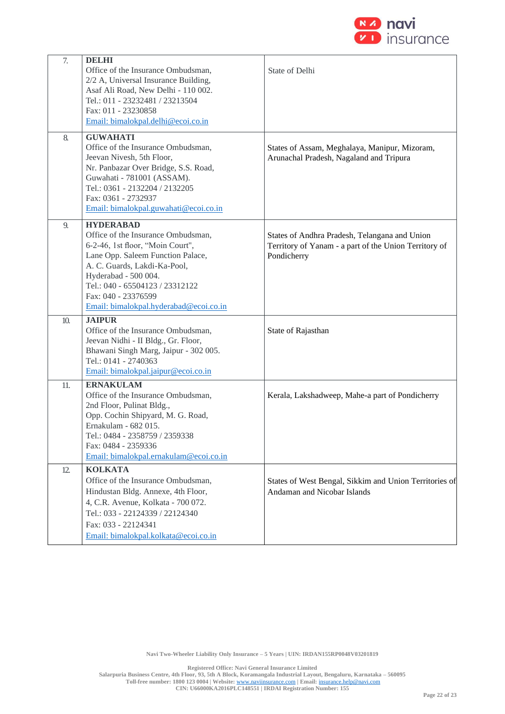

| 7.  | <b>DELHI</b><br>Office of the Insurance Ombudsman,<br>2/2 A, Universal Insurance Building,<br>Asaf Ali Road, New Delhi - 110 002.<br>Tel.: 011 - 23232481 / 23213504<br>Fax: 011 - 23230858<br>Email: bimalokpal.delhi@ecoi.co.in                                                           | <b>State of Delhi</b>                                                                                                 |
|-----|---------------------------------------------------------------------------------------------------------------------------------------------------------------------------------------------------------------------------------------------------------------------------------------------|-----------------------------------------------------------------------------------------------------------------------|
| 8.  | <b>GUWAHATI</b><br>Office of the Insurance Ombudsman,<br>Jeevan Nivesh, 5th Floor,<br>Nr. Panbazar Over Bridge, S.S. Road,<br>Guwahati - 781001 (ASSAM).<br>Tel.: 0361 - 2132204 / 2132205<br>Fax: 0361 - 2732937<br>Email: bimalokpal.guwahati@ecoi.co.in                                  | States of Assam, Meghalaya, Manipur, Mizoram,<br>Arunachal Pradesh, Nagaland and Tripura                              |
| 9.  | <b>HYDERABAD</b><br>Office of the Insurance Ombudsman,<br>6-2-46, 1st floor, "Moin Court",<br>Lane Opp. Saleem Function Palace,<br>A. C. Guards, Lakdi-Ka-Pool,<br>Hyderabad - 500 004.<br>Tel.: 040 - 65504123 / 23312122<br>Fax: 040 - 23376599<br>Email: bimalokpal.hyderabad@ecoi.co.in | States of Andhra Pradesh, Telangana and Union<br>Territory of Yanam - a part of the Union Territory of<br>Pondicherry |
| 10. | <b>JAIPUR</b><br>Office of the Insurance Ombudsman,<br>Jeevan Nidhi - II Bldg., Gr. Floor,<br>Bhawani Singh Marg, Jaipur - 302 005.<br>Tel.: 0141 - 2740363<br>Email: bimalokpal.jaipur@ecoi.co.in                                                                                          | State of Rajasthan                                                                                                    |
| 11. | <b>ERNAKULAM</b><br>Office of the Insurance Ombudsman,<br>2nd Floor, Pulinat Bldg.,<br>Opp. Cochin Shipyard, M. G. Road,<br>Ernakulam - 682 015.<br>Tel.: 0484 - 2358759 / 2359338<br>Fax: 0484 - 2359336<br>Email: bimalokpal.ernakulam@ecoi.co.in                                         | Kerala, Lakshadweep, Mahe-a part of Pondicherry                                                                       |
| 12. | <b>KOLKATA</b><br>Office of the Insurance Ombudsman,<br>Hindustan Bldg. Annexe, 4th Floor,<br>4, C.R. Avenue, Kolkata - 700 072.<br>Tel.: 033 - 22124339 / 22124340<br>Fax: 033 - 22124341<br>Email: bimalokpal.kolkata@ecoi.co.in                                                          | States of West Bengal, Sikkim and Union Territories of<br>Andaman and Nicobar Islands                                 |